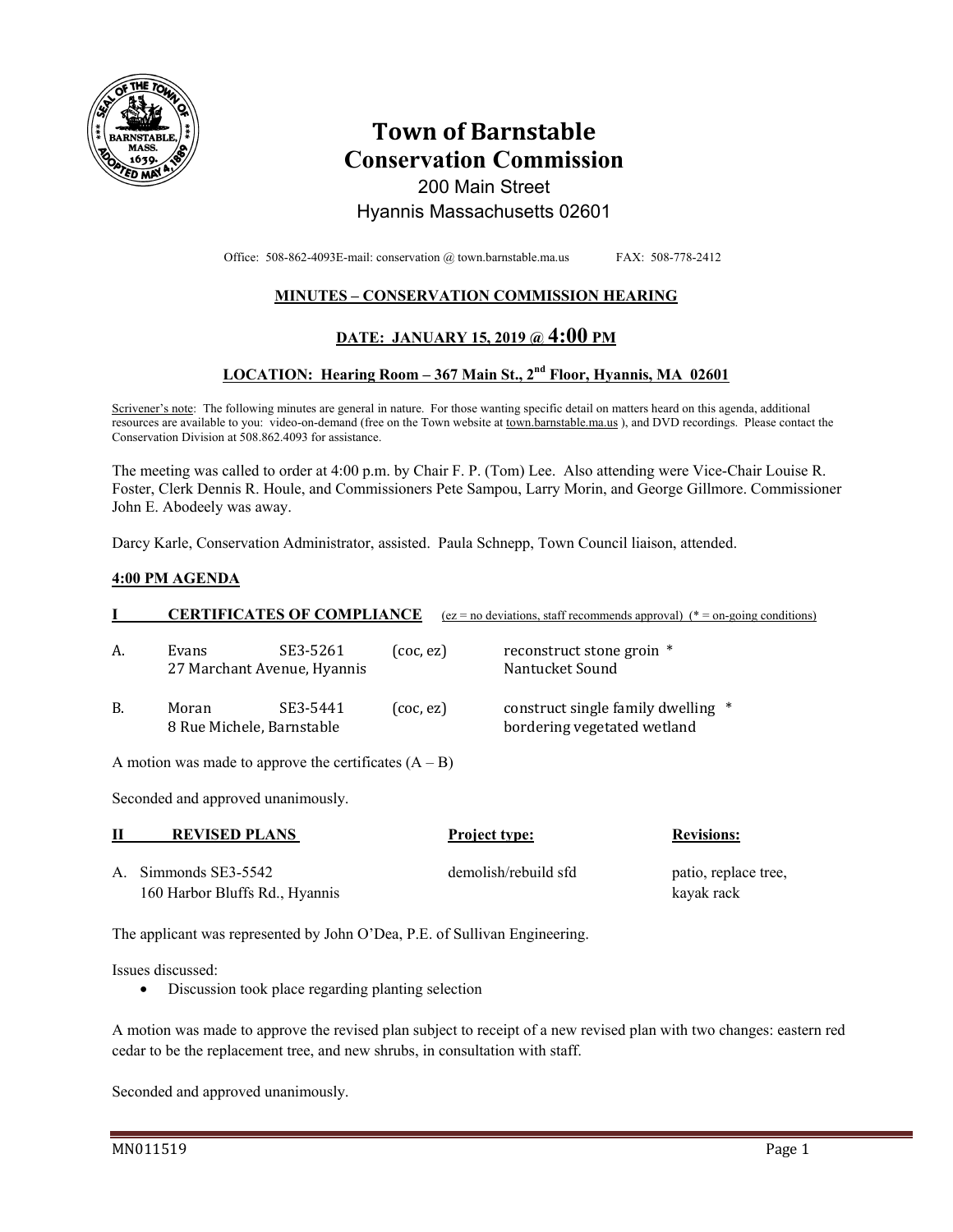

## **Town of Barnstable Conservation Commission**  200 Main Street

# Hyannis Massachusetts 02601

Office: 508-862-4093E-mail: conservation @ town.barnstable.ma.us FAX: 508-778-2412

## **MINUTES – CONSERVATION COMMISSION HEARING**

## **DATE: JANUARY 15, 2019 @ 4:00 PM**

### **LOCATION: Hearing Room – 367 Main St., 2nd Floor, Hyannis, MA 02601**

Scrivener's note: The following minutes are general in nature. For those wanting specific detail on matters heard on this agenda, additional resources are available to you: video-on-demand (free on the Town website at town.barnstable.ma.us ), and DVD recordings. Please contact the Conservation Division at 508.862.4093 for assistance.

The meeting was called to order at 4:00 p.m. by Chair F. P. (Tom) Lee. Also attending were Vice-Chair Louise R. Foster, Clerk Dennis R. Houle, and Commissioners Pete Sampou, Larry Morin, and George Gillmore. Commissioner John E. Abodeely was away.

Darcy Karle, Conservation Administrator, assisted. Paula Schnepp, Town Council liaison, attended.

#### **4:00 PM AGENDA**

## **I CERTIFICATES OF COMPLIANCE**  $(ez = no deviations, staff recommends approval) (* = on-going conditions)$ A. Evans SE3-5261 (coc, ez) reconstruct stone groin \*

|    | 27 Marchant Avenue, Hyannis        |          |                 | Nantucket Sound                                                   |  |
|----|------------------------------------|----------|-----------------|-------------------------------------------------------------------|--|
| В. | Moran<br>8 Rue Michele, Barnstable | SE3-5441 | $($ coc, ez $)$ | construct single family dwelling *<br>bordering vegetated wetland |  |

A motion was made to approve the certificates  $(A - B)$ 

Seconded and approved unanimously.

| <b>REVISED PLANS</b>                                   | <b>Project type:</b> | <b>Revisions:</b>                  |
|--------------------------------------------------------|----------------------|------------------------------------|
| A. Simmonds SE3-5542<br>160 Harbor Bluffs Rd., Hyannis | demolish/rebuild sfd | patio, replace tree,<br>kayak rack |

The applicant was represented by John O'Dea, P.E. of Sullivan Engineering.

Issues discussed:

• Discussion took place regarding planting selection

A motion was made to approve the revised plan subject to receipt of a new revised plan with two changes: eastern red cedar to be the replacement tree, and new shrubs, in consultation with staff.

Seconded and approved unanimously.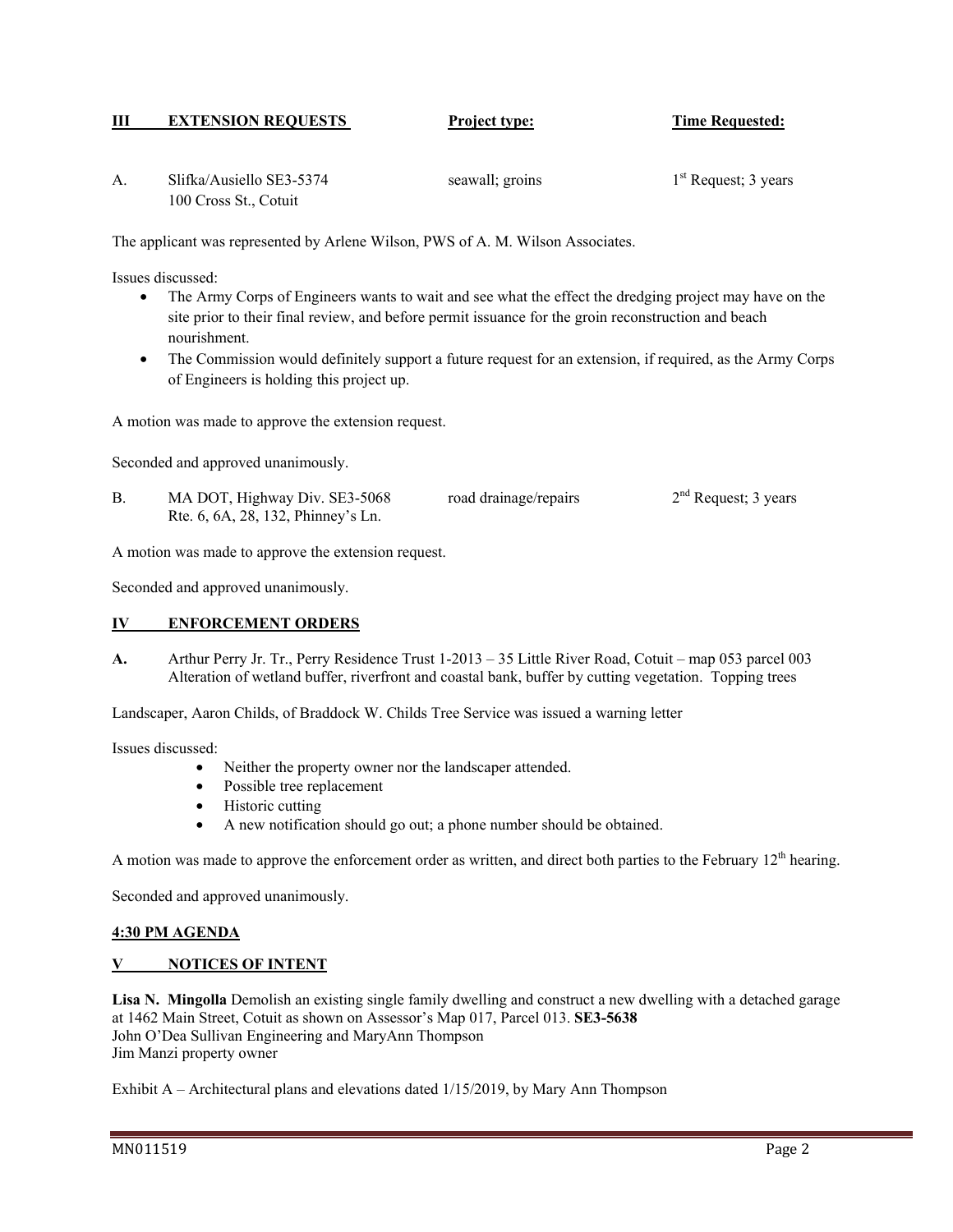### **III EXTENSION REQUESTS Project type: Time Requested:**

| Slifka/Ausiello SE3-5374 | seawall; groins | $1st$ Request; 3 years |
|--------------------------|-----------------|------------------------|
| 100 Cross St., Cotuit    |                 |                        |

The applicant was represented by Arlene Wilson, PWS of A. M. Wilson Associates.

Issues discussed:

- The Army Corps of Engineers wants to wait and see what the effect the dredging project may have on the site prior to their final review, and before permit issuance for the groin reconstruction and beach nourishment.
- The Commission would definitely support a future request for an extension, if required, as the Army Corps of Engineers is holding this project up.

A motion was made to approve the extension request.

Seconded and approved unanimously.

B. MA DOT, Highway Div. SE3-5068 road drainage/repairs  $2<sup>nd</sup>$  Request; 3 years Rte. 6, 6A, 28, 132, Phinney's Ln.

A motion was made to approve the extension request.

Seconded and approved unanimously.

#### **IV ENFORCEMENT ORDERS**

**A.** Arthur Perry Jr. Tr., Perry Residence Trust 1-2013 – 35 Little River Road, Cotuit – map 053 parcel 003 Alteration of wetland buffer, riverfront and coastal bank, buffer by cutting vegetation. Topping trees

Landscaper, Aaron Childs, of Braddock W. Childs Tree Service was issued a warning letter

Issues discussed:

- Neither the property owner nor the landscaper attended.
- Possible tree replacement
- Historic cutting
- A new notification should go out; a phone number should be obtained.

A motion was made to approve the enforcement order as written, and direct both parties to the February  $12<sup>th</sup>$  hearing.

Seconded and approved unanimously.

#### **4:30 PM AGENDA**

#### **V NOTICES OF INTENT**

**Lisa N. Mingolla** Demolish an existing single family dwelling and construct a new dwelling with a detached garage at 1462 Main Street, Cotuit as shown on Assessor's Map 017, Parcel 013. **SE3-5638**  John O'Dea Sullivan Engineering and MaryAnn Thompson Jim Manzi property owner

Exhibit A – Architectural plans and elevations dated 1/15/2019, by Mary Ann Thompson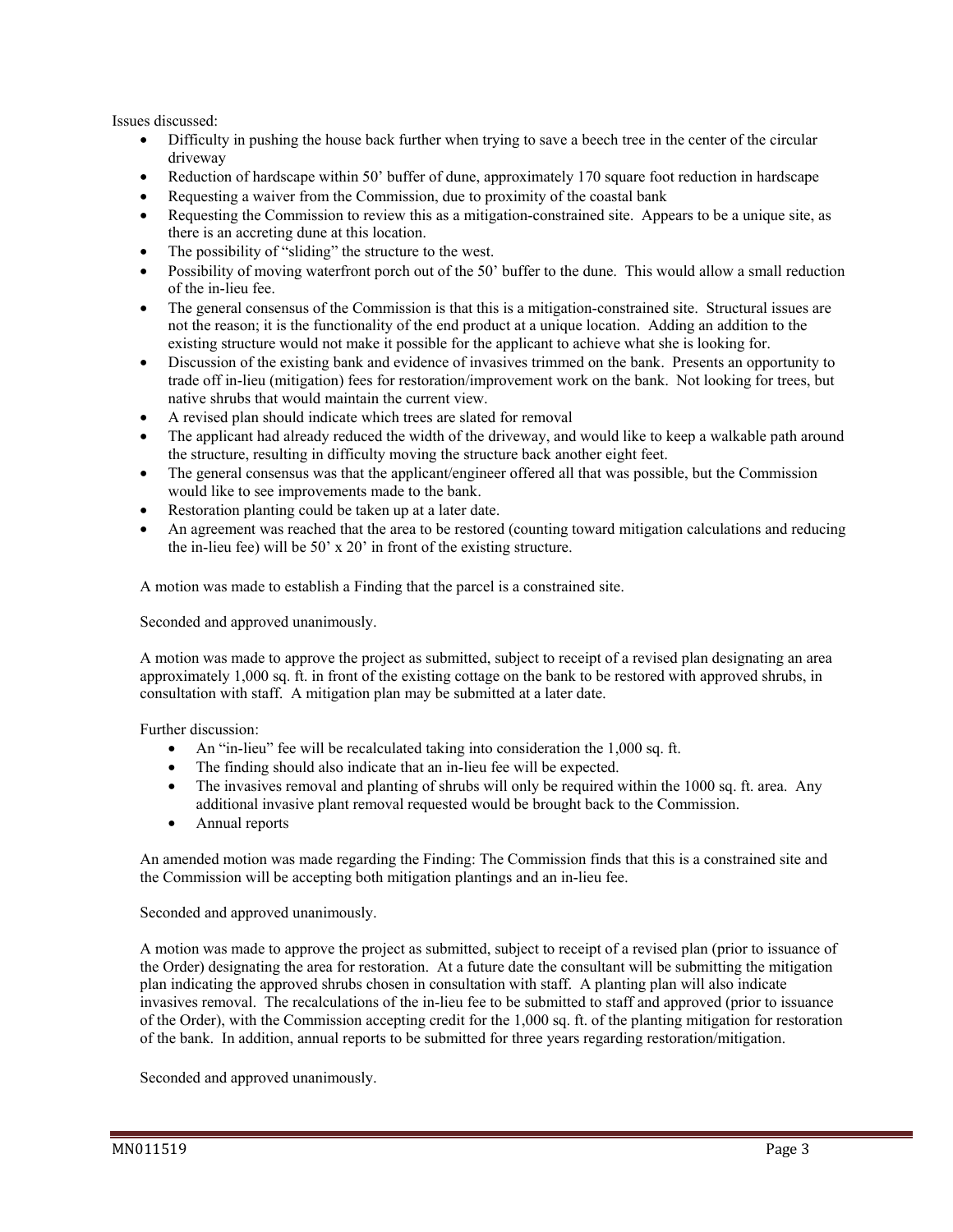Issues discussed:

- Difficulty in pushing the house back further when trying to save a beech tree in the center of the circular driveway
- Reduction of hardscape within 50' buffer of dune, approximately 170 square foot reduction in hardscape
- Requesting a waiver from the Commission, due to proximity of the coastal bank
- Requesting the Commission to review this as a mitigation-constrained site. Appears to be a unique site, as there is an accreting dune at this location.
- The possibility of "sliding" the structure to the west.
- Possibility of moving waterfront porch out of the 50' buffer to the dune. This would allow a small reduction of the in-lieu fee.
- The general consensus of the Commission is that this is a mitigation-constrained site. Structural issues are not the reason; it is the functionality of the end product at a unique location. Adding an addition to the existing structure would not make it possible for the applicant to achieve what she is looking for.
- Discussion of the existing bank and evidence of invasives trimmed on the bank. Presents an opportunity to trade off in-lieu (mitigation) fees for restoration/improvement work on the bank. Not looking for trees, but native shrubs that would maintain the current view.
- A revised plan should indicate which trees are slated for removal
- The applicant had already reduced the width of the driveway, and would like to keep a walkable path around the structure, resulting in difficulty moving the structure back another eight feet.
- The general consensus was that the applicant/engineer offered all that was possible, but the Commission would like to see improvements made to the bank.
- Restoration planting could be taken up at a later date.
- An agreement was reached that the area to be restored (counting toward mitigation calculations and reducing the in-lieu fee) will be 50' x 20' in front of the existing structure.

A motion was made to establish a Finding that the parcel is a constrained site.

Seconded and approved unanimously.

A motion was made to approve the project as submitted, subject to receipt of a revised plan designating an area approximately 1,000 sq. ft. in front of the existing cottage on the bank to be restored with approved shrubs, in consultation with staff. A mitigation plan may be submitted at a later date.

Further discussion:

- An "in-lieu" fee will be recalculated taking into consideration the 1,000 sq. ft.
- The finding should also indicate that an in-lieu fee will be expected.
- The invasives removal and planting of shrubs will only be required within the 1000 sq. ft. area. Any additional invasive plant removal requested would be brought back to the Commission.
- Annual reports

An amended motion was made regarding the Finding: The Commission finds that this is a constrained site and the Commission will be accepting both mitigation plantings and an in-lieu fee.

Seconded and approved unanimously.

 A motion was made to approve the project as submitted, subject to receipt of a revised plan (prior to issuance of the Order) designating the area for restoration. At a future date the consultant will be submitting the mitigation plan indicating the approved shrubs chosen in consultation with staff. A planting plan will also indicate invasives removal. The recalculations of the in-lieu fee to be submitted to staff and approved (prior to issuance of the Order), with the Commission accepting credit for the 1,000 sq. ft. of the planting mitigation for restoration of the bank. In addition, annual reports to be submitted for three years regarding restoration/mitigation.

Seconded and approved unanimously.